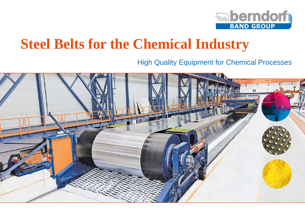

# **Steel Belts for the Chemical Industry**

High Quality Equipment for Chemical Processes

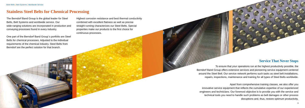Steel Belts | Belt Systems | Worldwide Service

## **Stainless Steel Belts for Chemical Processing**

The Berndorf Band Group is the global leader for Steel Belts, Belt Systems and worldwide service. Our wide-ranging solutions are incorporated in production and conveying processes found in every industry.

One part of the Berndorf Band Group´s portfolio are Steel Belts for chemical processes. Adjusted to the individual requirements of the chemical industry. Steel Belts from Berndorf are the perfect solution for that branch.

Highest corrosion resistance and best thermal conductivity combined with excellent flatness as well as precise straight running characterizes our Steel Belts. Special properties make our products to the first choice for continuous processes.

#### **Service That Never Stops**

To ensure that your operations run at the highest productivity possible, the Berndorf Band Group offers extensive services and pioneering service equipment centered around the Steel Belt. Our service network performs such tasks as steel belt installations, repairs, inspections, maintenance and training for all types of Steel Belts worldwide.

Apart from comprehensive training classes, we also offer you innovative service equipment that reflects the cumulative expertise of our experienced engineers and technicians. Our foremost objective is to provide you with the service and technical tools you need to handle such problems as belt damages or other process disruptions and, thus, restore optimum productivity.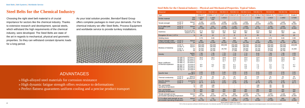Steel Belts | Belt Systems | Worldwide Service

# **Steel Belts for the Chemical Industry**

Choosing the right steel belt material is of crucial importance for sectors like the chemical industry. Thanks to extensive research and development, special steels, which withstand the high requirements of the chemical industry, were developed. The Steel Belts are state of the art in regards to mechanical, physical and geometric properties. So they can withstand constant dynamic loads for a long period.

As your total solution provider, Berndorf Band Group offers complete packages to meet your demands. For the chemical industry we offer Steel Belts, Process Equipment and worldwide service to provide turnkey installations.



# ADVANTAGES

- » High-alloyed steel materials for corrosion resistance
- » High dynamic fatigue strength offers resistance to deformations
- » Perfect flatness guarantees uniform cooling and a precise product transport

#### **Steel Belts for the Chemical Industry - Physical and Mechanical Properties. Typical Values.**

 $0.2 \%$ - $\frac{3}{5}$  streng

Fatigu revers

Mean of theri

 $Speci$ resista

Min. p operat  $\overline{\mathsf{Max. p}}$ 

 $overline$ operat Tensile

permis  $\frac{1}{0.2 \%}$ 

4 5 *\*50 % of the test specimens withstand 2,000,000 load cycles. If not otherwise specified, the values given apply at room temperature. Subject to change due to technological progress. Errors and omissons excepted.*

| <b>Material</b>                                                          |                                                                                                      |                                                                                                                                                                                                                 | <b>NICRO 12.1</b>                                                                  | NICRO <sub>22</sub>                    | NICRO 31                                                              | NICRO <sub>52</sub>                                 | NICRO 52.6                                          | NICRO <sub>70</sub>                       | NICRO <sub>85</sub>                                                                   | NICRO 94                                  | <b>TITANIUM</b>                                                                     |
|--------------------------------------------------------------------------|------------------------------------------------------------------------------------------------------|-----------------------------------------------------------------------------------------------------------------------------------------------------------------------------------------------------------------|------------------------------------------------------------------------------------|----------------------------------------|-----------------------------------------------------------------------|-----------------------------------------------------|-----------------------------------------------------|-------------------------------------------|---------------------------------------------------------------------------------------|-------------------------------------------|-------------------------------------------------------------------------------------|
| Type                                                                     |                                                                                                      |                                                                                                                                                                                                                 | CrNi 177                                                                           | CrNiMo 17 12 2                         |                                                                       |                                                     |                                                     |                                           | CrNiTi 13 4 CrNiCuTi 15 7 CrNiCuTi 15 7 NiCr 22 Mo 9 Nb CrNiMoN 25 7 4 CrNiMoN 22 5 3 |                                           | Grade 2                                                                             |
| Similar material                                                         |                                                                                                      | <b>DIN</b><br><b>AISI</b>                                                                                                                                                                                       | 1.4310<br>301                                                                      | 1.4401<br>316                          | 1.4313                                                                | $\overline{a}$                                      |                                                     | 2.4856                                    | 1.4410                                                                                | 1.4462                                    | 3.7035                                                                              |
| Tensile strength                                                         | at 20 °C<br>at 68 $\degree$ F                                                                        | N/mm <sup>2</sup><br>psi                                                                                                                                                                                        | 1,150<br>166,800                                                                   | 1,100<br>159,500                       | 1,080<br>156,600                                                      | 1,150<br>166,800                                    | 1,550<br>224,800                                    | 870<br>126,200                            | 1,350<br>195,800                                                                      | 1,400<br>203,100                          | 390<br>56,600                                                                       |
| 0.2 %-offset yield<br>strength                                           | at 20 °C<br>at 68 °F                                                                                 | N/mm <sup>2</sup><br>psi                                                                                                                                                                                        | 950<br>137,800                                                                     | 970<br>140,700                         | 1,050<br>152,300                                                      | 1,100<br>159,500                                    | 1,500<br>217,600                                    | 570<br>82,700                             | 1,250<br>181,300                                                                      | 1,050<br>152,300                          | 275<br>39,900                                                                       |
| Hardness                                                                 |                                                                                                      | Rockwell HRC<br>Vickers HV 10                                                                                                                                                                                   | 37.0<br>360                                                                        | 33.0<br>330                            | 33.0<br>330                                                           | 37.0<br>360                                         | 48.0<br>480                                         | 24.0<br>260                               | 39.0<br>380                                                                           | 36.0<br>350                               | 160                                                                                 |
| Elongation 50 mm   1.97 in                                               |                                                                                                      | $\frac{0}{6}$                                                                                                                                                                                                   | 18                                                                                 | 12                                     | 5                                                                     | 8                                                   | 6                                                   | 25                                        | $\,6\,$                                                                               | 9.5                                       | 20                                                                                  |
| Welding factor                                                           |                                                                                                      |                                                                                                                                                                                                                 | 0.70                                                                               | 0.65                                   | 0.95                                                                  | 0.95                                                | 0.80                                                | 0.75                                      | 0.70                                                                                  | 0.65                                      | 0.95                                                                                |
| Fatigue strength under<br>reversed bending stress <sup>*</sup>           | at 20 °C<br>at 68 °F                                                                                 | $N/mm^2$<br>psi                                                                                                                                                                                                 | 480<br>69,600                                                                      | 440<br>63,800                          | 480<br>69,600                                                         | 500<br>72,500                                       | 700<br>101,500                                      | 475<br>68,900                             | 385<br>55,900                                                                         | 450<br>65,300                             | 250<br>36.300                                                                       |
| Modulus of elasticity                                                    | at 20 $^{\circ}$ C<br>at 200 °C<br>at 68 °F<br>at 392 °F                                             | N/mm <sup>2</sup><br>N/mm <sup>2</sup><br>ksi<br>ksi                                                                                                                                                            | 200.000<br>180,000<br>29,000<br>26,100                                             | 200.000<br>180,000<br>29,000<br>26,100 | 205,000<br>29,700                                                     | 200.000<br>188,000<br>29,000<br>27,300              | 200.000<br>188,000<br>29,000<br>27,300              | 205.000<br>200,000<br>29,700<br>29,000    | 200,000<br>186,000<br>29,000<br>27,000                                                | 200,000<br>184,000<br>29,000<br>26,700    | 106,000<br>15,400                                                                   |
| Density                                                                  |                                                                                                      | kg/dm <sup>3</sup><br>$Ib/in^3$                                                                                                                                                                                 | 7.90<br>0.29                                                                       | 7.95<br>0.29                           | 7.70<br>0.28                                                          | 7.74<br>0.28                                        | 7.74<br>0.28                                        | 8.44<br>0.30                              | 7.80<br>0.28                                                                          | 7.80<br>0.28                              | 4.53<br>0.16                                                                        |
| Mean coefficient<br>of thermal expansion                                 | 20-100 °C<br>20-200 °C<br>20-300 °C<br>20-400 °C<br>68-212 °F<br>68-392 °F<br>68-572 °F<br>68-752 °F | 10 <sup>-6</sup> m/m°C<br>$10-6$ m/m $^{\circ}$ C<br>$10-6m/m°C$<br>$10-6$ m/m $^{\circ}$ C<br>$10-6$ in/in $^{\circ}$ F<br>$10-6$ in/in $^{\circ}$ F<br>$10-6$ in/in $^{\circ}$ F<br>$10-6$ in/in $^{\circ}$ F | 16.0<br>17.0<br>$\overline{\phantom{a}}$<br>8.9<br>9.4<br>$\overline{\phantom{a}}$ | 16.5<br>17.5<br>9.2<br>9.7             | 10.8<br>11.2<br>11.7<br>$\overline{\phantom{a}}$<br>6.0<br>6.2<br>6.5 | 10.9<br>11.5<br>11.7<br>$\sim$<br>6.1<br>6.4<br>6.5 | 10.9<br>11.5<br>11.7<br>$\sim$<br>6.1<br>6.4<br>6.5 | 12.8<br>13.1<br>13.3<br>7.1<br>7.3<br>7.4 | 13.0<br>13.5<br>14.0<br>$\overline{\phantom{a}}$<br>7.2<br>7.5<br>7.8                 | 13.3<br>13.8<br>14.2<br>7.4<br>7.7<br>7.9 | $\begin{array}{c} 8.5 \\ 8.9 \end{array}$<br>$\overline{\phantom{a}}$<br>4.7<br>4.9 |
| Specific heat                                                            |                                                                                                      | $J/q^{\circ}C$<br>BTU/ID°F                                                                                                                                                                                      | 0.50<br>0.12                                                                       | 0.50<br>0.12                           | 0.46<br>0.11                                                          | 0.50<br>0.12                                        | 0.50<br>0.12                                        | 0.41<br>0.10                              | 0.50<br>0.12                                                                          | 0.50<br>0.12                              | 0.52<br>0.12                                                                        |
| Thermal conductivity                                                     | at 20 $\degree$ C<br>at 68 °F                                                                        | W/m°C<br>BTU/hr ft°F                                                                                                                                                                                            | 15<br>8.7                                                                          | 15<br>8.7                              | 21<br>12.1                                                            | 16<br>9.3                                           | 16<br>9.3                                           | 9.8<br>5.7                                | 15<br>8.7                                                                             | 15<br>8.7                                 | 20<br>11.6                                                                          |
| Specific electric<br>resistance                                          | at 20 °C<br>at 68 °F                                                                                 | $\Omega$ mm <sup>2</sup> /m<br>$μΩ$ in                                                                                                                                                                          | 0.73<br>28.74                                                                      | 0.75<br>29.53                          | 0.60<br>23.62                                                         | 0.80<br>31.50                                       | 0.80<br>31.50                                       | 1.29<br>50.79                             | 0.80<br>31.50                                                                         | 0.80<br>31.50                             | 0.78<br>30.71                                                                       |
| Min. permissible<br>operating temperature                                |                                                                                                      | $^{\circ}C$<br>$\,^\circ \mathsf{F}$                                                                                                                                                                            | $-196$<br>$-321$                                                                   | $-196$<br>$-321$                       |                                                                       |                                                     |                                                     | $-196$<br>$-321$                          | $-50$<br>$-58$                                                                        | $-50$<br>$-58$                            |                                                                                     |
| Max. permissible<br>operating temperature                                |                                                                                                      | $^{\circ}C$<br>$\overline{P}$                                                                                                                                                                                   | 250<br>482                                                                         | 250<br>482                             | 350<br>662                                                            | 350<br>662                                          | 350<br>662                                          | 300<br>572                                | 250<br>482                                                                            | 250<br>482                                | 250<br>482                                                                          |
| Tensile strength at max.<br>permissible operating temperature            |                                                                                                      | N/mm <sup>2</sup><br>psi                                                                                                                                                                                        | 940<br>136,300                                                                     | 870<br>126,200                         | 970<br>140,700                                                        | 900<br>130,500                                      | 1,250<br>181,300                                    | 770<br>111,700                            | 1,070<br>155,200                                                                      | 1,130<br>163,900                          | 225<br>32,600                                                                       |
| 0.2 %-offset yield strength at max.<br>permissible operating temperature |                                                                                                      | N/mm <sup>2</sup><br>psi                                                                                                                                                                                        | 770<br>111,700                                                                     | 770<br>111,700                         | 930<br>134,900                                                        | 830<br>120,400                                      | 1,180<br>171,100                                    | 420<br>60,900                             | 1,020<br>147,900                                                                      | 990<br>143,600                            | 135<br>19,600                                                                       |

*Special materials available upon request.*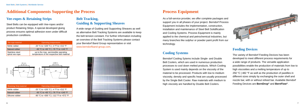



product Retaining Strips. A special developed gluing process ensures optimal adhesion even under difficult \_\_\_\_\_\_\_\_\_\_\_\_\_\_\_\_\_\_\_\_\_\_\_\_\_\_ Steel Belts can be equipped with Vee-ropes and/or production conditions.

an overview of the Belt Tracking Systems please contact and the Belt Tracking Systems please contact process ensures opumal adnesion even under difficult and as alternative Belt Tracking Systems are available to keep A wide range of Guiding and Supporting Sheaves as well the belt tension constant. For further information including www.berndorfband-group.com.

# **Additional Components Supporting the Process**

#### **Vee-ropes & Retaining Strips**

#### **Belt Tracking, Guiding & Supporting Sheaves**

| Vee-rope-material                  | <b>Operating temperatures</b>                                                       | your Berndorf Band Group representative or visit |
|------------------------------------|-------------------------------------------------------------------------------------|--------------------------------------------------|
| Nitrile rubber                     | -20 °C to +100 °C   -4 °F to +212 °F                                                | www.berndorfband-group.com.                      |
| Natural rubber                     | -60 °C to +60 °C   -76 °F to +140 °F                                                |                                                  |
| Stainless steel<br>spiral vee-rope | up to the max. permissible operating<br>temperature of the respective belt material |                                                  |

| ofile<br>5 mm<br>(0.197 in<br>$40^{\circ}$<br>ā<br>$\Xi$ | $\frac{m}{2}$<br>$\Xi \subseteq \Xi$<br>0.760 in<br>₫<br>mm<br>69 in<br>$40^{\circ}$<br>$0.140$ i<br>JSA<br>$\sim$ $\sim$<br>$-$ 0 |  |
|----------------------------------------------------------|------------------------------------------------------------------------------------------------------------------------------------|--|
| <b>Retaining Strip-material</b>                          | <b>Operating temperatures</b>                                                                                                      |  |
| Nitrile rubber                                           | -20 °C to +100 °C   -4 °F to +212 °F                                                                                               |  |
| Natural rubber                                           | -60 °C to +60 °C   -76 °F to +140 °F                                                                                               |  |
| Silicone rubber                                          | -80 °C to +300 °C   -112 °F to +572 °F                                                                                             |  |

# **Process Equipment**

As a full-service provider, we offer complete packages and support you in all phases of your project. Berndorf Process Equipment includes the implementation, construction, installation and maintenance of Steel Belt Solidification and Cooling Systems. Process Equipment is mainly applied to the chemical and petrochemical industries, but many branches like sulphur or powder paint profit from our technology.

### **Cooling Systems**

Berndorf Cooling Sytems include Single- and Double Belt Coolers, which are used in numerous production processes to cool down melted products. Which Cooling System is used mainly depends on the viscosity of the material to be processed. Products with low to medium viscosity, density and specific heat are usually processed by the Single Belt Cooler. Raw materials with medium to high viscosity are handled by Double Belt Coolers.



#### **Feeding Devices**

The variety of Berndorf Feeding Devices has been developed to meet different process requirements for a wide range of products. The versatile application possibilities enable the production of materials from low to high viscosities and a melting temperature of up to 250 °C | 482 °F as well as the production of pastilles in different sizes simply by exchanging the outer shell and nozzle bar, with or without refeed bar. Available Berndorf Feeding Devices are **BernDrop®** and **BernFlow®**.